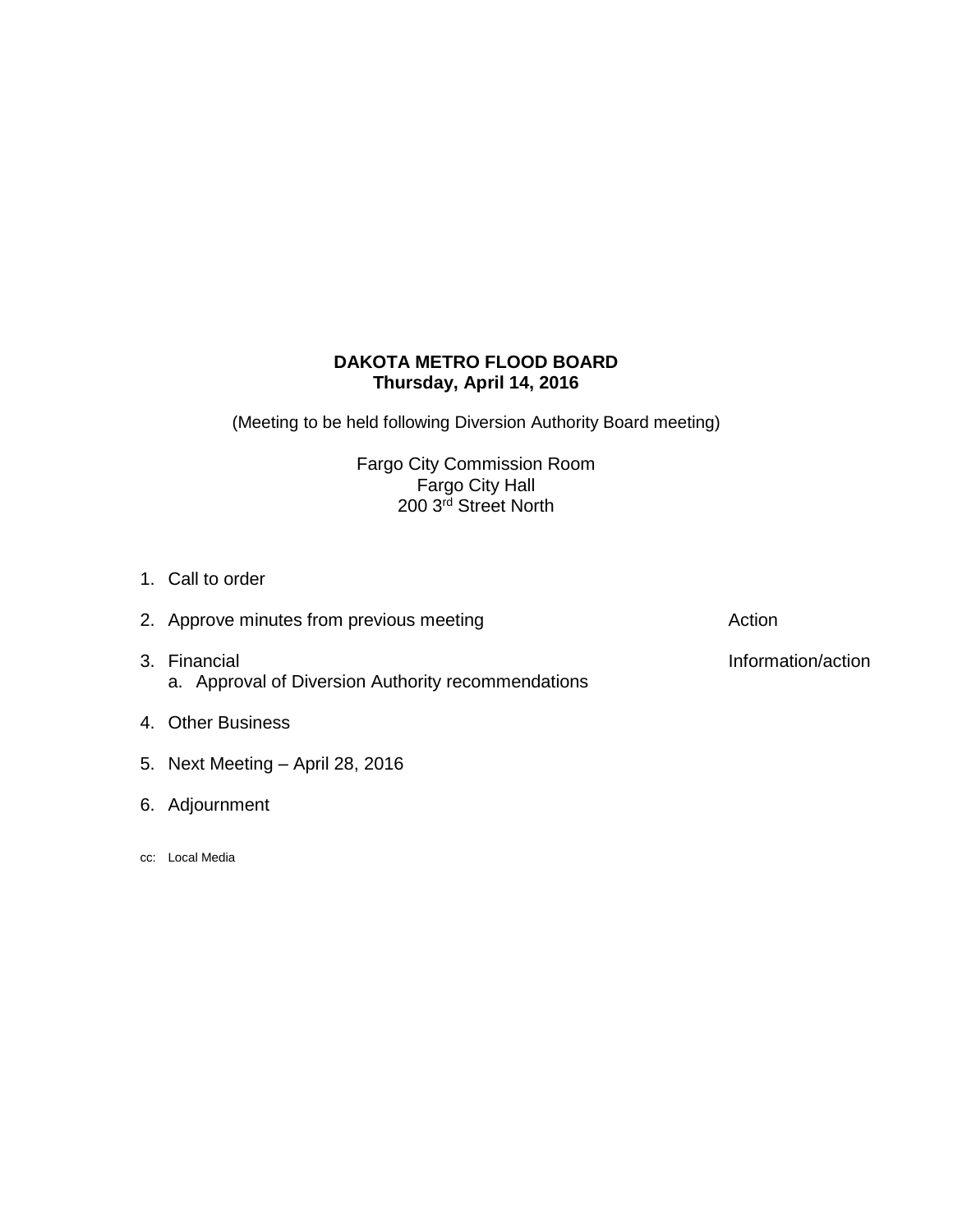# **DAKOTA METRO FLOOD BOARD Thursday, April 14, 2016**

(Meeting to be held following Diversion Authority Board meeting)

Fargo City Commission Room Fargo City Hall 200 3<sup>rd</sup> Street North

- 1. Call to order
- 3. Financial **Information/action** a. Approval of Diversion Authority recommendations
- 4. Other Business
- 5. Next Meeting April 28, 2016
- 6. Adjournment
- cc: Local Media

2. Approve minutes from previous meeting and action action Action